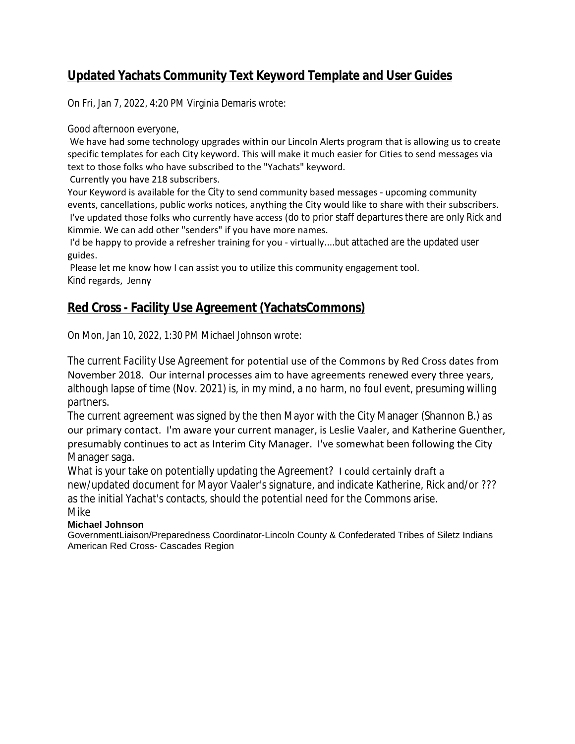# **Updated Yachats Community Text Keyword Template and User Guides**

On Fri, Jan 7, 2022, 4:20 PM Virginia Demaris wrote:

Good afternoon everyone,

We have had some technology upgrades within our Lincoln Alerts program that is allowing us to create specific templates for each City keyword. This will make it much easier for Cities to send messages via text to those folks who have subscribed to the "Yachats" keyword.

Currently you have 218 subscribers.

Your Keyword is available for the City to send community based messages - upcoming community events, cancellations, public works notices, anything the City would like to share with their subscribers. I've updated those folks who currently have access (do to prior staff departures there are only Rick and Kimmie. We can add other "senders" if you have more names.

I'd be happy to provide a refresher training for you - virtually....but attached are the updated user guides.

Please let me know how I can assist you to utilize this community engagement tool. Kind regards, Jenny

## **Red Cross - Facility Use Agreement (YachatsCommons)**

On Mon, Jan 10, 2022, 1:30 PM Michael Johnson wrote:

The current *Facility Use Agreement* for potential use of the Commons by Red Cross dates from November 2018. Our internal processes aim to have agreements renewed every three years, although lapse of time (Nov. 2021) is, in my mind, a no harm, no foul event, presuming willing partners.

The current agreement was signed by the then Mayor with the City Manager (Shannon B.) as our primary contact. I'm aware your current manager, is Leslie Vaaler, and Katherine Guenther, presumably continues to act as Interim City Manager. I've somewhat been following the City Manager saga.

What is your take on potentially updating the *Agreement?* I could certainly draft a new/updated document for Mayor Vaaler's signature, and indicate Katherine, Rick and/or ??? as the initial Yachat's contacts, should the potential need for the Commons arise. Mike

#### **Michael Johnson**

GovernmentLiaison/Preparedness Coordinator-Lincoln County & Confederated Tribes of Siletz Indians American Red Cross- Cascades Region